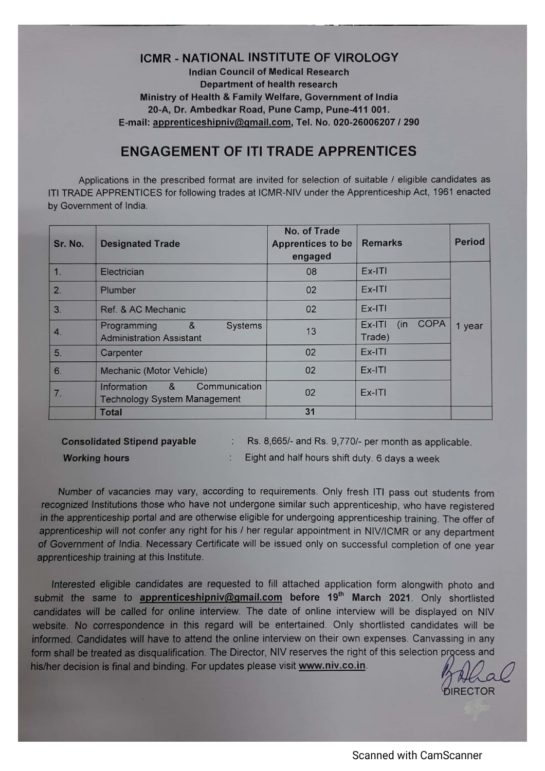## **ICMR - NATIONAL INSTITUTE OF VIROLOGY**

**Indian Council of Medical Research Department of health research** Ministry of Health & Family Welfare, Government of India 20-A, Dr. Ambedkar Road, Pune Camp, Pune-411 001. E-mail: apprenticeshipniv@gmail.com, Tel. No. 020-26006207 / 290

## **ENGAGEMENT OF ITI TRADE APPRENTICES**

Applications in the prescribed format are invited for selection of suitable / eligible candidates as ITI TRADE APPRENTICES for following trades at ICMR-NIV under the Apprenticeship Act, 1961 enacted by Government of India.

| Sr. No. | <b>Designated Trade</b>                                                  | No. of Trade<br><b>Apprentices to be</b><br>engaged | <b>Remarks</b>                          | <b>Period</b> |
|---------|--------------------------------------------------------------------------|-----------------------------------------------------|-----------------------------------------|---------------|
| 1.      | Electrician                                                              | 08                                                  | $Ex-ITI$                                |               |
| 2.      | Plumber                                                                  | 02                                                  | $Ex-ITI$                                |               |
| 3.      | Ref. & AC Mechanic                                                       | 02                                                  | $Ex-ITI$                                |               |
| 4.      | &<br>Programming<br><b>Systems</b><br><b>Administration Assistant</b>    | 13                                                  | <b>COPA</b><br>Ex-ITI<br>(in)<br>Trade) | 1 year        |
| 5.      | Carpenter                                                                | 02                                                  | Ex-ITI                                  |               |
| 6.      | Mechanic (Motor Vehicle)                                                 | 02                                                  | $Ex-ITI$                                |               |
| 7.      | Communication<br>Information<br>&<br><b>Technology System Management</b> | 02                                                  | $Ex-ITI$                                |               |
|         | <b>Total</b>                                                             | 31                                                  |                                         |               |

**Consolidated Stipend payable** 

Rs. 8,665/- and Rs. 9,770/- per month as applicable.

**Working hours** 

Eight and half hours shift duty. 6 days a week

Number of vacancies may vary, according to requirements. Only fresh ITI pass out students from recognized Institutions those who have not undergone similar such apprenticeship, who have registered in the apprenticeship portal and are otherwise eligible for undergoing apprenticeship training. The offer of apprenticeship will not confer any right for his / her regular appointment in NIV/ICMR or any department of Government of India. Necessary Certificate will be issued only on successful completion of one year apprenticeship training at this Institute.

 $\mathcal{L}_{\mathcal{L}}$ 

 $\mathcal{L}$ 

Interested eligible candidates are requested to fill attached application form alongwith photo and submit the same to apprenticeshipniv@gmail.com before 19<sup>th</sup> March 2021. Only shortlisted candidates will be called for online interview. The date of online interview will be displayed on NIV website. No correspondence in this regard will be entertained. Only shortlisted candidates will be informed. Candidates will have to attend the online interview on their own expenses. Canvassing in any form shall be treated as disqualification. The Director, NIV reserves the right of this selection process and his/her decision is final and binding. For updates please visit www.niv.co.in.

**RECTOR**